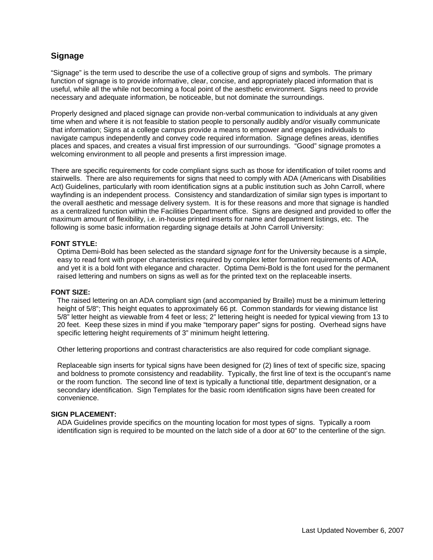# **Signage**

"Signage" is the term used to describe the use of a collective group of signs and symbols. The primary function of signage is to provide informative, clear, concise, and appropriately placed information that is useful, while all the while not becoming a focal point of the aesthetic environment. Signs need to provide necessary and adequate information, be noticeable, but not dominate the surroundings.

Properly designed and placed signage can provide non-verbal communication to individuals at any given time when and where it is not feasible to station people to personally audibly and/or visually communicate that information; Signs at a college campus provide a means to empower and engages individuals to navigate campus independently and convey code required information. Signage defines areas, identifies places and spaces, and creates a visual first impression of our surroundings. "Good" signage promotes a welcoming environment to all people and presents a first impression image.

There are specific requirements for code compliant signs such as those for identification of toilet rooms and stairwells. There are also requirements for signs that need to comply with ADA (Americans with Disabilities Act) Guidelines, particularly with room identification signs at a public institution such as John Carroll, where wayfinding is an independent process. Consistency and standardization of similar sign types is important to the overall aesthetic and message delivery system. It is for these reasons and more that signage is handled as a centralized function within the Facilities Department office. Signs are designed and provided to offer the maximum amount of flexibility, i.e. in-house printed inserts for name and department listings, etc. The following is some basic information regarding signage details at John Carroll University:

### **FONT STYLE:**

Optima Demi-Bold has been selected as the standard *signage font* for the University because is a simple, easy to read font with proper characteristics required by complex letter formation requirements of ADA, and yet it is a bold font with elegance and character. Optima Demi-Bold is the font used for the permanent raised lettering and numbers on signs as well as for the printed text on the replaceable inserts.

### **FONT SIZE:**

The raised lettering on an ADA compliant sign (and accompanied by Braille) must be a minimum lettering height of 5/8"; This height equates to approximately 66 pt. Common standards for viewing distance list 5/8" letter height as viewable from 4 feet or less; 2" lettering height is needed for typical viewing from 13 to 20 feet. Keep these sizes in mind if you make "temporary paper" signs for posting. Overhead signs have specific lettering height requirements of 3" minimum height lettering.

Other lettering proportions and contrast characteristics are also required for code compliant signage.

Replaceable sign inserts for typical signs have been designed for (2) lines of text of specific size, spacing and boldness to promote consistency and readability. Typically, the first line of text is the occupant's name or the room function. The second line of text is typically a functional title, department designation, or a secondary identification. Sign Templates for the basic room identification signs have been created for convenience.

### **SIGN PLACEMENT:**

ADA Guidelines provide specifics on the mounting location for most types of signs. Typically a room identification sign is required to be mounted on the latch side of a door at 60" to the centerline of the sign.